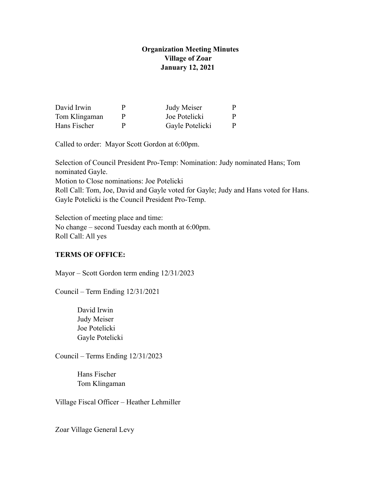# **Organization Meeting Minutes Village of Zoar January 12, 2021**

| David Irwin   | μ | Judy Meiser     | P. |
|---------------|---|-----------------|----|
| Tom Klingaman | Ρ | Joe Potelicki   | P. |
| Hans Fischer  | p | Gayle Potelicki | P. |

Called to order: Mayor Scott Gordon at 6:00pm.

Selection of Council President Pro-Temp: Nomination: Judy nominated Hans; Tom nominated Gayle.

Motion to Close nominations: Joe Potelicki

Roll Call: Tom, Joe, David and Gayle voted for Gayle; Judy and Hans voted for Hans. Gayle Potelicki is the Council President Pro-Temp.

Selection of meeting place and time: No change – second Tuesday each month at 6:00pm. Roll Call: All yes

# **TERMS OF OFFICE:**

Mayor – Scott Gordon term ending 12/31/2023

Council – Term Ending 12/31/2021

 David Irwin Judy Meiser Joe Potelicki Gayle Potelicki

Council – Terms Ending 12/31/2023

 Hans Fischer Tom Klingaman

Village Fiscal Officer – Heather Lehmiller

Zoar Village General Levy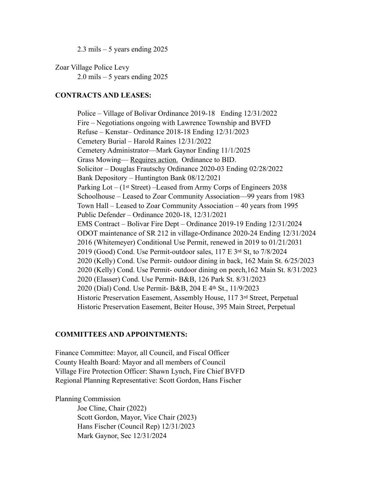$2.3$  mils  $-5$  years ending 2025

Zoar Village Police Levy  $2.0$  mils  $-5$  years ending 2025

### **CONTRACTS AND LEASES:**

 Police – Village of Bolivar Ordinance 2019-18 Ending 12/31/2022 Fire – Negotiations ongoing with Lawrence Township and BVFD Refuse – Kenstar– Ordinance 2018-18 Ending 12/31/2023 Cemetery Burial – Harold Raines 12/31/2022 Cemetery Administrator—Mark Gaynor Ending 11/1/2025 Grass Mowing— Requires action. Ordinance to BID. Solicitor – Douglas Frautschy Ordinance 2020-03 Ending 02/28/2022 Bank Depository – Huntington Bank 08/12/2021 Parking Lot – (1st Street) –Leased from Army Corps of Engineers 2038 Schoolhouse – Leased to Zoar Community Association—99 years from 1983 Town Hall – Leased to Zoar Community Association – 40 years from 1995 Public Defender – Ordinance 2020-18, 12/31/2021 EMS Contract – Bolivar Fire Dept – Ordinance 2019-19 Ending 12/31/2024 ODOT maintenance of SR 212 in village-Ordinance 2020-24 Ending 12/31/2024 2016 (Whitemeyer) Conditional Use Permit, renewed in 2019 to 01/21/2031 2019 (Good) Cond. Use Permit-outdoor sales, 117 E 3rd St, to 7/8/2024 2020 (Kelly) Cond. Use Permit- outdoor dining in back, 162 Main St. 6/25/2023 2020 (Kelly) Cond. Use Permit- outdoor dining on porch,162 Main St. 8/31/2023 2020 (Elasser) Cond. Use Permit- B&B, 126 Park St. 8/31/2023 2020 (Dial) Cond. Use Permit- B&B, 204 E 4th St., 11/9/2023 Historic Preservation Easement, Assembly House, 117 3rd Street, Perpetual Historic Preservation Easement, Beiter House, 395 Main Street, Perpetual

## **COMMITTEES AND APPOINTMENTS:**

Finance Committee: Mayor, all Council, and Fiscal Officer County Health Board: Mayor and all members of Council Village Fire Protection Officer: Shawn Lynch, Fire Chief BVFD Regional Planning Representative: Scott Gordon, Hans Fischer

#### Planning Commission

 Joe Cline, Chair (2022) Scott Gordon, Mayor, Vice Chair (2023) Hans Fischer (Council Rep) 12/31/2023 Mark Gaynor, Sec 12/31/2024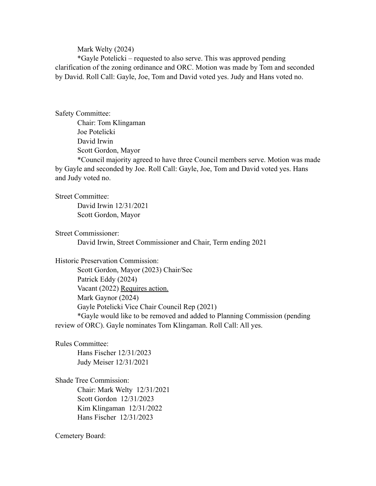### Mark Welty (2024)

 \*Gayle Potelicki – requested to also serve. This was approved pending clarification of the zoning ordinance and ORC. Motion was made by Tom and seconded by David. Roll Call: Gayle, Joe, Tom and David voted yes. Judy and Hans voted no.

Safety Committee:

Chair: Tom Klingaman Joe Potelicki David Irwin Scott Gordon, Mayor

\*Council majority agreed to have three Council members serve. Motion was made by Gayle and seconded by Joe. Roll Call: Gayle, Joe, Tom and David voted yes. Hans and Judy voted no.

Street Committee:

 David Irwin 12/31/2021 Scott Gordon, Mayor

Street Commissioner:

David Irwin, Street Commissioner and Chair, Term ending 2021

Historic Preservation Commission:

 Scott Gordon, Mayor (2023) Chair/Sec Patrick Eddy (2024) Vacant (2022) Requires action. Mark Gaynor (2024) Gayle Potelicki Vice Chair Council Rep (2021) \*Gayle would like to be removed and added to Planning Commission (pending review of ORC). Gayle nominates Tom Klingaman. Roll Call: All yes.

Rules Committee:

 Hans Fischer 12/31/2023 Judy Meiser 12/31/2021

Shade Tree Commission: Chair: Mark Welty 12/31/2021 Scott Gordon 12/31/2023 Kim Klingaman 12/31/2022 Hans Fischer 12/31/2023

Cemetery Board: